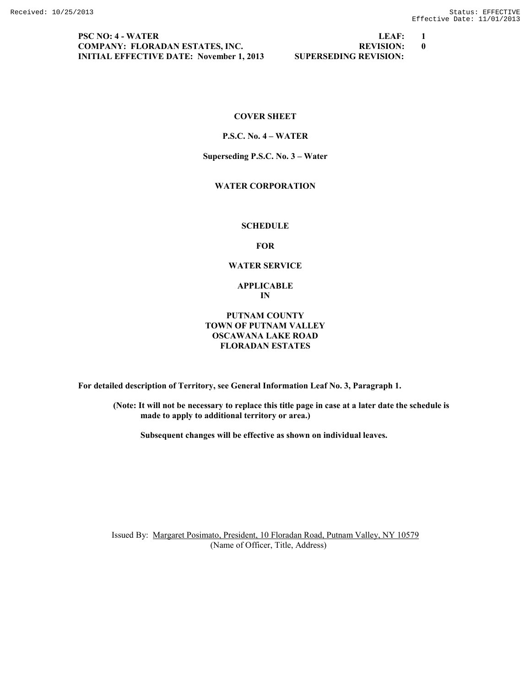**PSC NO: 4 - WATER LEAF: 1 COMPANY: FLORADAN ESTATES, INC.**  $\qquad \qquad \qquad$  **REVISION: 0 INITIAL EFFECTIVE DATE: November 1, 2013 SUPERSEDING REVISION:**

# **COVER SHEET**

#### **P.S.C. No. 4 – WATER**

#### **Superseding P.S.C. No. 3 – Water**

# **WATER CORPORATION**

#### **SCHEDULE**

**FOR**

#### **WATER SERVICE**

#### **APPLICABLE IN**

## **PUTNAM COUNTY TOWN OF PUTNAM VALLEY OSCAWANA LAKE ROAD FLORADAN ESTATES**

**For detailed description of Territory, see General Information Leaf No. 3, Paragraph 1.**

**(Note: It will not be necessary to replace this title page in case at a later date the schedule is made to apply to additional territory or area.)**

**Subsequent changes will be effective as shown on individual leaves.**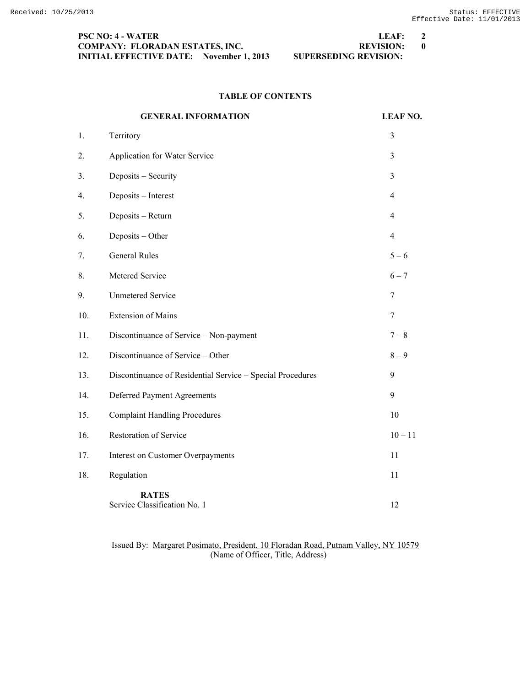| <b>PSC NO: 4 - WATER</b>                        | LEAF:                        | $\overline{2}$ |
|-------------------------------------------------|------------------------------|----------------|
| <b>COMPANY: FLORADAN ESTATES, INC.</b>          | <b>REVISION:</b>             |                |
| <b>INITIAL EFFECTIVE DATE:</b> November 1, 2013 | <b>SUPERSEDING REVISION:</b> |                |

### **TABLE OF CONTENTS**

#### **GENERAL INFORMATION LEAF NO.**

| 1.  | Territory                                                  | 3              |
|-----|------------------------------------------------------------|----------------|
| 2.  | Application for Water Service                              | $\overline{3}$ |
| 3.  | Deposits - Security                                        | 3              |
| 4.  | Deposits - Interest                                        | 4              |
| 5.  | Deposits - Return                                          | $\overline{4}$ |
| 6.  | Deposits - Other                                           | $\overline{4}$ |
| 7.  | <b>General Rules</b>                                       | $5 - 6$        |
| 8.  | Metered Service                                            | $6 - 7$        |
| 9.  | <b>Unmetered Service</b>                                   | 7              |
| 10. | <b>Extension of Mains</b>                                  | 7              |
| 11. | Discontinuance of Service - Non-payment                    | $7 - 8$        |
| 12. | Discontinuance of Service - Other                          | $8-9$          |
| 13. | Discontinuance of Residential Service - Special Procedures | 9              |
| 14. | Deferred Payment Agreements                                | 9              |
| 15. | <b>Complaint Handling Procedures</b>                       | 10             |
| 16. | Restoration of Service                                     | $10 - 11$      |
| 17. | <b>Interest on Customer Overpayments</b>                   | 11             |
| 18. | Regulation                                                 | 11             |
|     | <b>RATES</b><br>Service Classification No. 1               | 12             |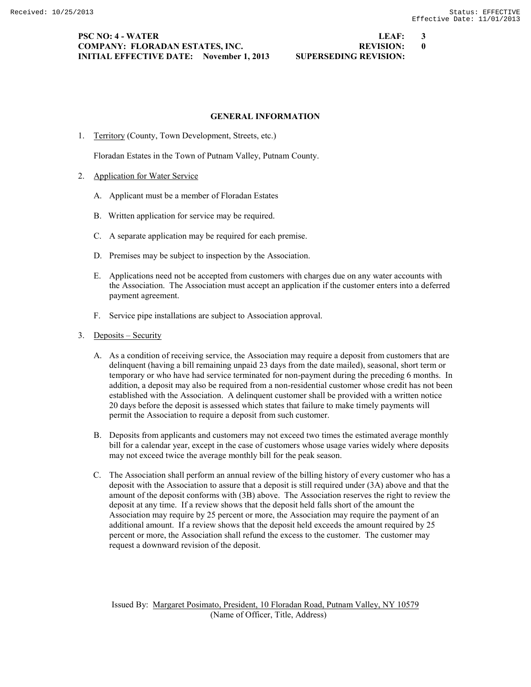### **PSC NO: 4 - WATER LEAF: 3 COMPANY: FLORADAN ESTATES, INC. REVISION: 0 INITIAL EFFECTIVE DATE: November 1, 2013 SUPERSEDING REVISION:**

1. Territory (County, Town Development, Streets, etc.)

A. Applicant must be a member of Floradan Estates

B. Written application for service may be required.

2. Application for Water Service

Floradan Estates in the Town of Putnam Valley, Putnam County.

C. A separate application may be required for each premise. D. Premises may be subject to inspection by the Association.

**GENERAL INFORMATION**

- E. Applications need not be accepted from customers with charges due on any water accounts with the Association. The Association must accept an application if the customer enters into a deferred payment agreement.
- F. Service pipe installations are subject to Association approval.
- 3. Deposits Security
	- A. As a condition of receiving service, the Association may require a deposit from customers that are delinquent (having a bill remaining unpaid 23 days from the date mailed), seasonal, short term or temporary or who have had service terminated for non-payment during the preceding 6 months. In addition, a deposit may also be required from a non-residential customer whose credit has not been established with the Association. A delinquent customer shall be provided with a written notice 20 days before the deposit is assessed which states that failure to make timely payments will permit the Association to require a deposit from such customer.
	- B. Deposits from applicants and customers may not exceed two times the estimated average monthly bill for a calendar year, except in the case of customers whose usage varies widely where deposits may not exceed twice the average monthly bill for the peak season.
	- C. The Association shall perform an annual review of the billing history of every customer who has a deposit with the Association to assure that a deposit is still required under (3A) above and that the amount of the deposit conforms with (3B) above. The Association reserves the right to review the deposit at any time. If a review shows that the deposit held falls short of the amount the Association may require by 25 percent or more, the Association may require the payment of an additional amount. If a review shows that the deposit held exceeds the amount required by 25 percent or more, the Association shall refund the excess to the customer. The customer may request a downward revision of the deposit.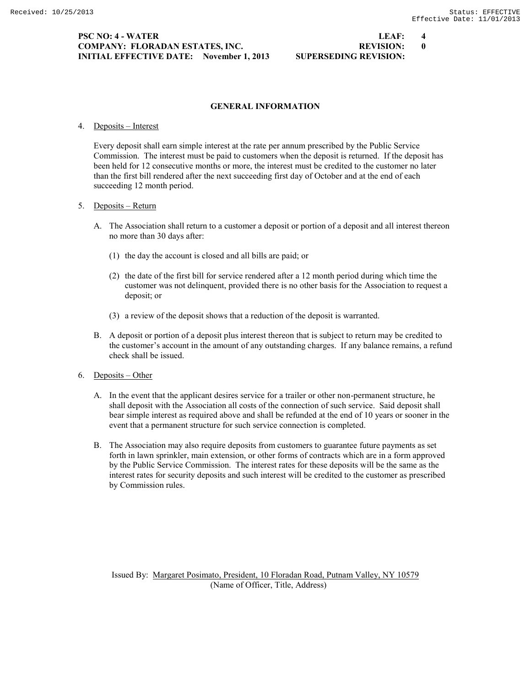### **PSC NO: 4 - WATER LEAF: 4 COMPANY: FLORADAN ESTATES, INC.**  $\qquad \qquad \qquad$  **REVISION: 0 INITIAL EFFECTIVE DATE: November 1, 2013 SUPERSEDING REVISION:**

# **GENERAL INFORMATION**

# 4. Deposits – Interest

Every deposit shall earn simple interest at the rate per annum prescribed by the Public Service Commission. The interest must be paid to customers when the deposit is returned. If the deposit has been held for 12 consecutive months or more, the interest must be credited to the customer no later than the first bill rendered after the next succeeding first day of October and at the end of each succeeding 12 month period.

# 5. Deposits – Return

- A. The Association shall return to a customer a deposit or portion of a deposit and all interest thereon no more than 30 days after:
	- (1) the day the account is closed and all bills are paid; or
	- (2) the date of the first bill for service rendered after a 12 month period during which time the customer was not delinquent, provided there is no other basis for the Association to request a deposit; or
	- (3) a review of the deposit shows that a reduction of the deposit is warranted.
- B. A deposit or portion of a deposit plus interest thereon that is subject to return may be credited to the customer's account in the amount of any outstanding charges. If any balance remains, a refund check shall be issued.
- 6. Deposits Other
	- A. In the event that the applicant desires service for a trailer or other non-permanent structure, he shall deposit with the Association all costs of the connection of such service. Said deposit shall bear simple interest as required above and shall be refunded at the end of 10 years or sooner in the event that a permanent structure for such service connection is completed.
	- B. The Association may also require deposits from customers to guarantee future payments as set forth in lawn sprinkler, main extension, or other forms of contracts which are in a form approved by the Public Service Commission. The interest rates for these deposits will be the same as the interest rates for security deposits and such interest will be credited to the customer as prescribed by Commission rules.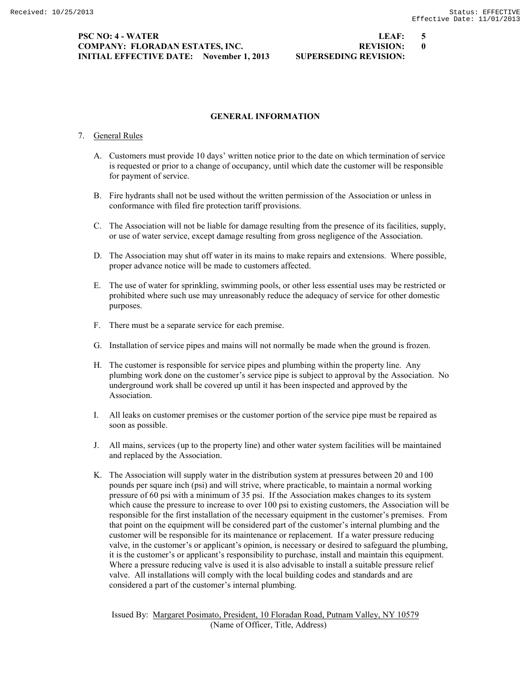#### **PSC NO: 4 - WATER LEAF: 5 COMPANY: FLORADAN ESTATES, INC. REVISION: 0 INITIAL EFFECTIVE DATE: November 1, 2013 SUPERSEDING REVISION:**

## **GENERAL INFORMATION**

### 7. General Rules

- A. Customers must provide 10 days' written notice prior to the date on which termination of service is requested or prior to a change of occupancy, until which date the customer will be responsible for payment of service.
- B. Fire hydrants shall not be used without the written permission of the Association or unless in conformance with filed fire protection tariff provisions.
- C. The Association will not be liable for damage resulting from the presence of its facilities, supply, or use of water service, except damage resulting from gross negligence of the Association.
- D. The Association may shut off water in its mains to make repairs and extensions. Where possible, proper advance notice will be made to customers affected.
- E. The use of water for sprinkling, swimming pools, or other less essential uses may be restricted or prohibited where such use may unreasonably reduce the adequacy of service for other domestic purposes.
- F. There must be a separate service for each premise.
- G. Installation of service pipes and mains will not normally be made when the ground is frozen.
- H. The customer is responsible for service pipes and plumbing within the property line. Any plumbing work done on the customer's service pipe is subject to approval by the Association. No underground work shall be covered up until it has been inspected and approved by the Association.
- I. All leaks on customer premises or the customer portion of the service pipe must be repaired as soon as possible.
- J. All mains, services (up to the property line) and other water system facilities will be maintained and replaced by the Association.
- K. The Association will supply water in the distribution system at pressures between 20 and 100 pounds per square inch (psi) and will strive, where practicable, to maintain a normal working pressure of 60 psi with a minimum of 35 psi. If the Association makes changes to its system which cause the pressure to increase to over 100 psi to existing customers, the Association will be responsible for the first installation of the necessary equipment in the customer's premises. From that point on the equipment will be considered part of the customer's internal plumbing and the customer will be responsible for its maintenance or replacement. If a water pressure reducing valve, in the customer's or applicant's opinion, is necessary or desired to safeguard the plumbing, it is the customer's or applicant's responsibility to purchase, install and maintain this equipment. Where a pressure reducing valve is used it is also advisable to install a suitable pressure relief valve. All installations will comply with the local building codes and standards and are considered a part of the customer's internal plumbing.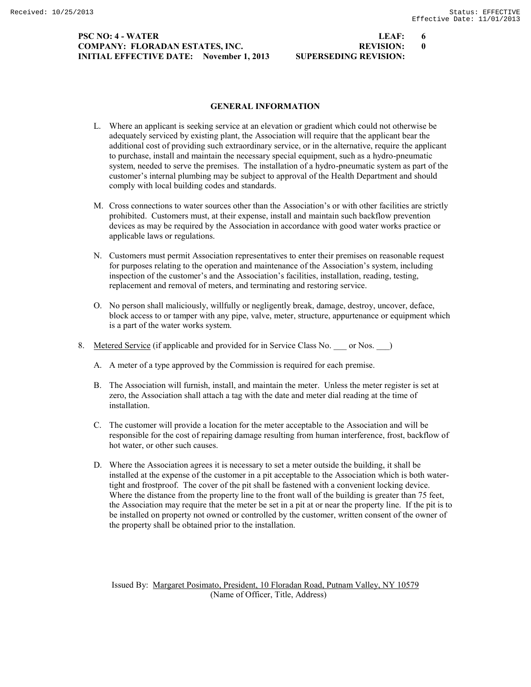## **PSC NO: 4 - WATER LEAF: 6 COMPANY: FLORADAN ESTATES, INC. REVISION: 0 INITIAL EFFECTIVE DATE: November 1, 2013 SUPERSEDING REVISION:**

### **GENERAL INFORMATION**

- L. Where an applicant is seeking service at an elevation or gradient which could not otherwise be adequately serviced by existing plant, the Association will require that the applicant bear the additional cost of providing such extraordinary service, or in the alternative, require the applicant to purchase, install and maintain the necessary special equipment, such as a hydro-pneumatic system, needed to serve the premises. The installation of a hydro-pneumatic system as part of the customer's internal plumbing may be subject to approval of the Health Department and should comply with local building codes and standards.
- M. Cross connections to water sources other than the Association's or with other facilities are strictly prohibited. Customers must, at their expense, install and maintain such backflow prevention devices as may be required by the Association in accordance with good water works practice or applicable laws or regulations.
- N. Customers must permit Association representatives to enter their premises on reasonable request for purposes relating to the operation and maintenance of the Association's system, including inspection of the customer's and the Association's facilities, installation, reading, testing, replacement and removal of meters, and terminating and restoring service.
- O. No person shall maliciously, willfully or negligently break, damage, destroy, uncover, deface, block access to or tamper with any pipe, valve, meter, structure, appurtenance or equipment which is a part of the water works system.
- 8. Metered Service (if applicable and provided for in Service Class No. \_\_\_ or Nos. \_\_ )
	- A. A meter of a type approved by the Commission is required for each premise.
	- B. The Association will furnish, install, and maintain the meter. Unless the meter register is set at zero, the Association shall attach a tag with the date and meter dial reading at the time of installation.
	- C. The customer will provide a location for the meter acceptable to the Association and will be responsible for the cost of repairing damage resulting from human interference, frost, backflow of hot water, or other such causes.
	- D. Where the Association agrees it is necessary to set a meter outside the building, it shall be installed at the expense of the customer in a pit acceptable to the Association which is both watertight and frostproof. The cover of the pit shall be fastened with a convenient locking device. Where the distance from the property line to the front wall of the building is greater than 75 feet, the Association may require that the meter be set in a pit at or near the property line. If the pit is to be installed on property not owned or controlled by the customer, written consent of the owner of the property shall be obtained prior to the installation.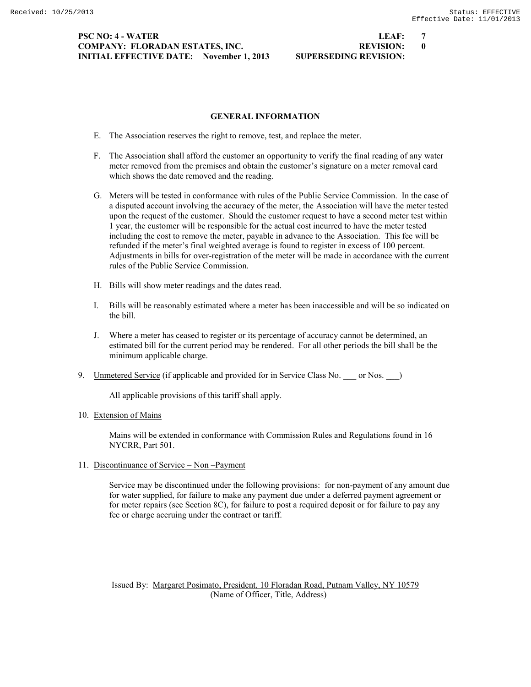### **PSC NO: 4 - WATER LEAF: 7 COMPANY: FLORADAN ESTATES, INC. REVISION: 0 INITIAL EFFECTIVE DATE: November 1, 2013 SUPERSEDING REVISION:**

- E. The Association reserves the right to remove, test, and replace the meter.
- F. The Association shall afford the customer an opportunity to verify the final reading of any water meter removed from the premises and obtain the customer's signature on a meter removal card which shows the date removed and the reading.

**GENERAL INFORMATION**

- G. Meters will be tested in conformance with rules of the Public Service Commission. In the case of a disputed account involving the accuracy of the meter, the Association will have the meter tested upon the request of the customer. Should the customer request to have a second meter test within 1 year, the customer will be responsible for the actual cost incurred to have the meter tested including the cost to remove the meter, payable in advance to the Association. This fee will be refunded if the meter's final weighted average is found to register in excess of 100 percent. Adjustments in bills for over-registration of the meter will be made in accordance with the current rules of the Public Service Commission.
- H. Bills will show meter readings and the dates read.
- I. Bills will be reasonably estimated where a meter has been inaccessible and will be so indicated on the bill.
- J. Where a meter has ceased to register or its percentage of accuracy cannot be determined, an estimated bill for the current period may be rendered. For all other periods the bill shall be the minimum applicable charge.
- 9. Unmetered Service (if applicable and provided for in Service Class No. \_\_\_ or Nos. \_\_ )

All applicable provisions of this tariff shall apply.

### 10. Extension of Mains

Mains will be extended in conformance with Commission Rules and Regulations found in 16 NYCRR, Part 501.

## 11. Discontinuance of Service – Non –Payment

Service may be discontinued under the following provisions: for non-payment of any amount due for water supplied, for failure to make any payment due under a deferred payment agreement or for meter repairs (see Section 8C), for failure to post a required deposit or for failure to pay any fee or charge accruing under the contract or tariff.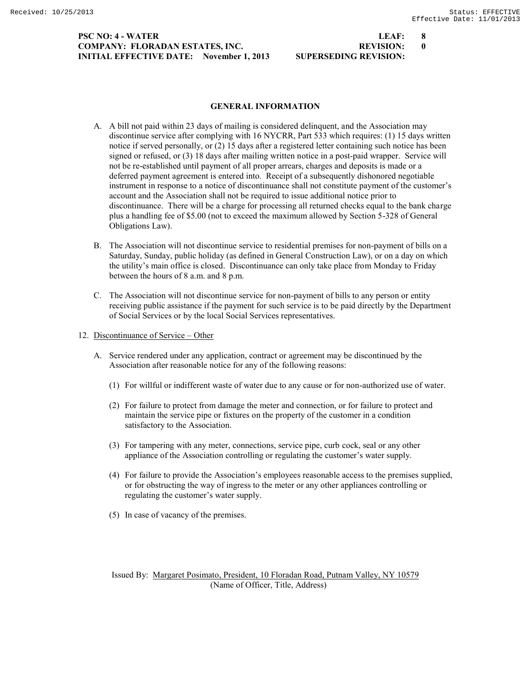## **PSC NO: 4 - WATER LEAF: 8 COMPANY: FLORADAN ESTATES, INC. REVISION: 0 INITIAL EFFECTIVE DATE: November 1, 2013 SUPERSEDING REVISION:**

#### **GENERAL INFORMATION**

- A. A bill not paid within 23 days of mailing is considered delinquent, and the Association may discontinue service after complying with 16 NYCRR, Part 533 which requires: (1) 15 days written notice if served personally, or (2) 15 days after a registered letter containing such notice has been signed or refused, or (3) 18 days after mailing written notice in a post-paid wrapper. Service will not be re-established until payment of all proper arrears, charges and deposits is made or a deferred payment agreement is entered into. Receipt of a subsequently dishonored negotiable instrument in response to a notice of discontinuance shall not constitute payment of the customer's account and the Association shall not be required to issue additional notice prior to discontinuance. There will be a charge for processing all returned checks equal to the bank charge plus a handling fee of \$5.00 (not to exceed the maximum allowed by Section 5-328 of General Obligations Law).
- B. The Association will not discontinue service to residential premises for non-payment of bills on a Saturday, Sunday, public holiday (as defined in General Construction Law), or on a day on which the utility's main office is closed. Discontinuance can only take place from Monday to Friday between the hours of 8 a.m. and 8 p.m.
- C. The Association will not discontinue service for non-payment of bills to any person or entity receiving public assistance if the payment for such service is to be paid directly by the Department of Social Services or by the local Social Services representatives.
- 12. Discontinuance of Service Other
	- A. Service rendered under any application, contract or agreement may be discontinued by the Association after reasonable notice for any of the following reasons:
		- (1) For willful or indifferent waste of water due to any cause or for non-authorized use of water.
		- (2) For failure to protect from damage the meter and connection, or for failure to protect and maintain the service pipe or fixtures on the property of the customer in a condition satisfactory to the Association.
		- (3) For tampering with any meter, connections, service pipe, curb cock, seal or any other appliance of the Association controlling or regulating the customer's water supply.
		- (4) For failure to provide the Association's employees reasonable access to the premises supplied, or for obstructing the way of ingress to the meter or any other appliances controlling or regulating the customer's water supply.
		- (5) In case of vacancy of the premises.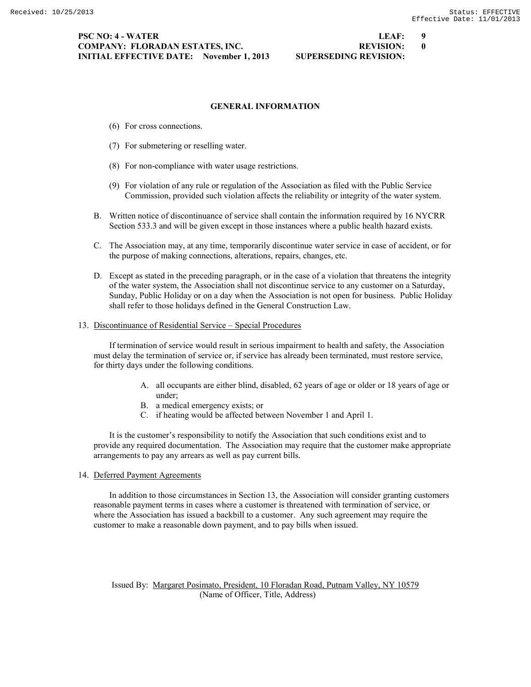### **PSC NO: 4 - WATER LEAF: 9 COMPANY: FLORADAN ESTATES, INC. REVISION: 0 INITIAL EFFECTIVE DATE: November 1, 2013 SUPERSEDING REVISION:**

# **GENERAL INFORMATION**

- (6) For cross connections.
- (7) For submetering or reselling water.
- (8) For non-compliance with water usage restrictions.
- (9) For violation of any rule or regulation of the Association as filed with the Public Service Commission, provided such violation affects the reliability or integrity of the water system.
- B. Written notice of discontinuance of service shall contain the information required by 16 NYCRR Section 533.3 and will be given except in those instances where a public health hazard exists.
- C. The Association may, at any time, temporarily discontinue water service in case of accident, or for the purpose of making connections, alterations, repairs, changes, etc.
- D. Except as stated in the preceding paragraph, or in the case of a violation that threatens the integrity of the water system, the Association shall not discontinue service to any customer on a Saturday, Sunday, Public Holiday or on a day when the Association is not open for business. Public Holiday shall refer to those holidays defined in the General Construction Law.

#### 13. Discontinuance of Residential Service – Special Procedures

If termination of service would result in serious impairment to health and safety, the Association must delay the termination of service or, if service has already been terminated, must restore service, for thirty days under the following conditions.

- A. all occupants are either blind, disabled, 62 years of age or older or 18 years of age or under;
- B. a medical emergency exists; or
- C. if heating would be affected between November 1 and April 1.

It is the customer's responsibility to notify the Association that such conditions exist and to provide any required documentation. The Association may require that the customer make appropriate arrangements to pay any arrears as well as pay current bills.

14. Deferred Payment Agreements

In addition to those circumstances in Section 13, the Association will consider granting customers reasonable payment terms in cases where a customer is threatened with termination of service, or where the Association has issued a backbill to a customer. Any such agreement may require the customer to make a reasonable down payment, and to pay bills when issued.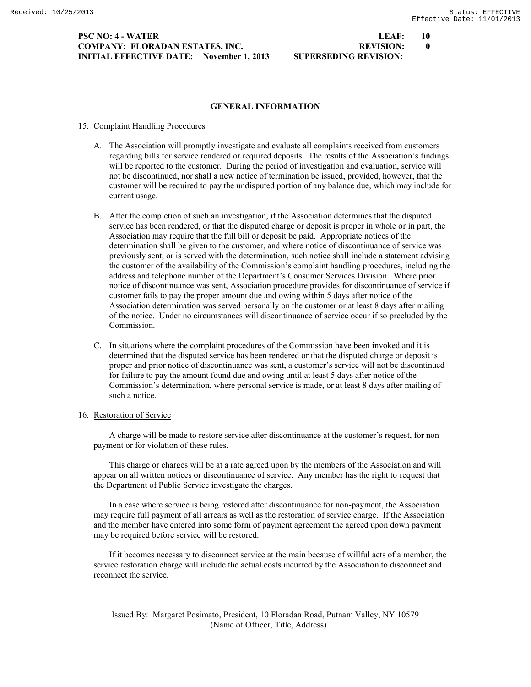#### **PSC NO: 4 - WATER LEAF: 10 COMPANY: FLORADAN ESTATES, INC. REVISION: 0 INITIAL EFFECTIVE DATE: November 1, 2013 SUPERSEDING REVISION:**

# **GENERAL INFORMATION**

# 15. Complaint Handling Procedures

- A. The Association will promptly investigate and evaluate all complaints received from customers regarding bills for service rendered or required deposits. The results of the Association's findings will be reported to the customer. During the period of investigation and evaluation, service will not be discontinued, nor shall a new notice of termination be issued, provided, however, that the customer will be required to pay the undisputed portion of any balance due, which may include for current usage.
- B. After the completion of such an investigation, if the Association determines that the disputed service has been rendered, or that the disputed charge or deposit is proper in whole or in part, the Association may require that the full bill or deposit be paid. Appropriate notices of the determination shall be given to the customer, and where notice of discontinuance of service was previously sent, or is served with the determination, such notice shall include a statement advising the customer of the availability of the Commission's complaint handling procedures, including the address and telephone number of the Department's Consumer Services Division. Where prior notice of discontinuance was sent, Association procedure provides for discontinuance of service if customer fails to pay the proper amount due and owing within 5 days after notice of the Association determination was served personally on the customer or at least 8 days after mailing of the notice. Under no circumstances will discontinuance of service occur if so precluded by the Commission.
- C. In situations where the complaint procedures of the Commission have been invoked and it is determined that the disputed service has been rendered or that the disputed charge or deposit is proper and prior notice of discontinuance was sent, a customer's service will not be discontinued for failure to pay the amount found due and owing until at least 5 days after notice of the Commission's determination, where personal service is made, or at least 8 days after mailing of such a notice.

# 16. Restoration of Service

A charge will be made to restore service after discontinuance at the customer's request, for nonpayment or for violation of these rules.

This charge or charges will be at a rate agreed upon by the members of the Association and will appear on all written notices or discontinuance of service. Any member has the right to request that the Department of Public Service investigate the charges.

In a case where service is being restored after discontinuance for non-payment, the Association may require full payment of all arrears as well as the restoration of service charge. If the Association and the member have entered into some form of payment agreement the agreed upon down payment may be required before service will be restored.

If it becomes necessary to disconnect service at the main because of willful acts of a member, the service restoration charge will include the actual costs incurred by the Association to disconnect and reconnect the service.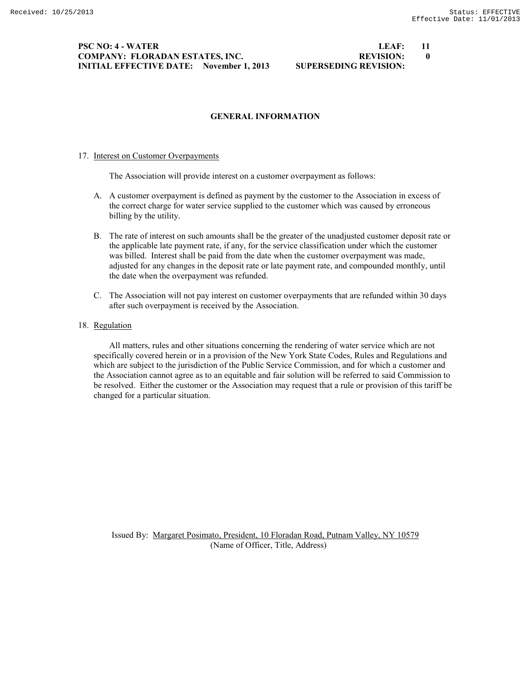#### **PSC NO: 4 - WATER LEAF: 11 COMPANY: FLORADAN ESTATES, INC. REVISION: 0 INITIAL EFFECTIVE DATE: November 1, 2013 SUPERSEDING REVISION:**

### **GENERAL INFORMATION**

#### 17. Interest on Customer Overpayments

The Association will provide interest on a customer overpayment as follows:

- A. A customer overpayment is defined as payment by the customer to the Association in excess of the correct charge for water service supplied to the customer which was caused by erroneous billing by the utility.
- B. The rate of interest on such amounts shall be the greater of the unadjusted customer deposit rate or the applicable late payment rate, if any, for the service classification under which the customer was billed. Interest shall be paid from the date when the customer overpayment was made, adjusted for any changes in the deposit rate or late payment rate, and compounded monthly, until the date when the overpayment was refunded.
- C. The Association will not pay interest on customer overpayments that are refunded within 30 days after such overpayment is received by the Association.
- 18. Regulation

All matters, rules and other situations concerning the rendering of water service which are not specifically covered herein or in a provision of the New York State Codes, Rules and Regulations and which are subject to the jurisdiction of the Public Service Commission, and for which a customer and the Association cannot agree as to an equitable and fair solution will be referred to said Commission to be resolved. Either the customer or the Association may request that a rule or provision of this tariff be changed for a particular situation.